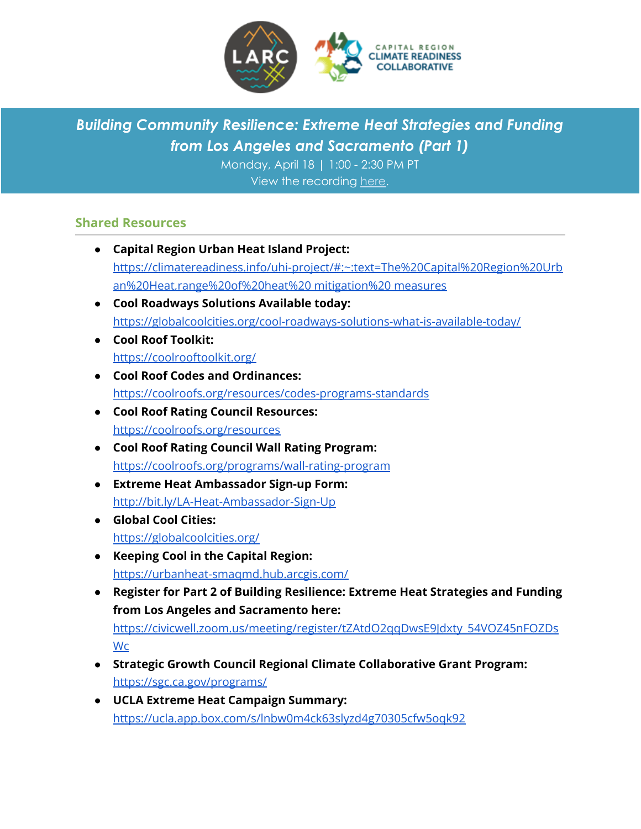

# *Building Community Resilience: Extreme Heat Strategies and Funding from Los Angeles and Sacramento (Part 1)*

Monday, April 18 | 1:00 - 2:30 PM PT View the recording [here.](https://youtu.be/lbWCb4oPFYY)

### **Shared Resources**

- **Capital Region Urban Heat Island Project:** [https://climatereadiness.info/uhi-project/#:~:text=The%20Capital%20Region%20Urb](https://climatereadiness.info/uhi-project/#:~:text=The%20Capital%20Region%20Urban%20Heat,range%20of%20heat%20mitigation%20measures) [an%20Heat,range%20of%20heat%20](https://climatereadiness.info/uhi-project/#:~:text=The%20Capital%20Region%20Urban%20Heat,range%20of%20heat%20mitigation%20measures) mitigation%20 measures ● **Cool Roadways Solutions Available today:** <https://globalcoolcities.org/cool-roadways-solutions-what-is-available-today/> ● **Cool Roof Toolkit:** <https://coolrooftoolkit.org/> ● **Cool Roof Codes and Ordinances:** <https://coolroofs.org/resources/codes-programs-standards> ● **Cool Roof Rating Council Resources:** <https://coolroofs.org/resources> ● **Cool Roof Rating Council Wall Rating Program:** <https://coolroofs.org/programs/wall-rating-program> ● **Extreme Heat Ambassador Sign-up Form:** <http://bit.ly/LA-Heat-Ambassador-Sign-Up> ● **Global Cool Cities:** <https://globalcoolcities.org/> ● **Keeping Cool in the Capital Region:** <https://urbanheat-smaqmd.hub.arcgis.com/> ● **Register for Part 2 of Building Resilience: Extreme Heat Strategies and Funding from Los Angeles and Sacramento here:** [https://civicwell.zoom.us/meeting/register/tZAtdO2qqDwsE9Jdxty\\_54VOZ45nFOZDs](https://civicwell.zoom.us/meeting/register/tZAtdO2qqDwsE9Jdxty_54VOZ45nFOZDsWca) **[Wc](https://civicwell.zoom.us/meeting/register/tZAtdO2qqDwsE9Jdxty_54VOZ45nFOZDsWca)** ● **Strategic Growth Council Regional Climate Collaborative Grant Program:** <https://sgc.ca.gov/programs/> ● **UCLA Extreme Heat Campaign Summary:**
	- <https://ucla.app.box.com/s/lnbw0m4ck63slyzd4g70305cfw5oqk92>